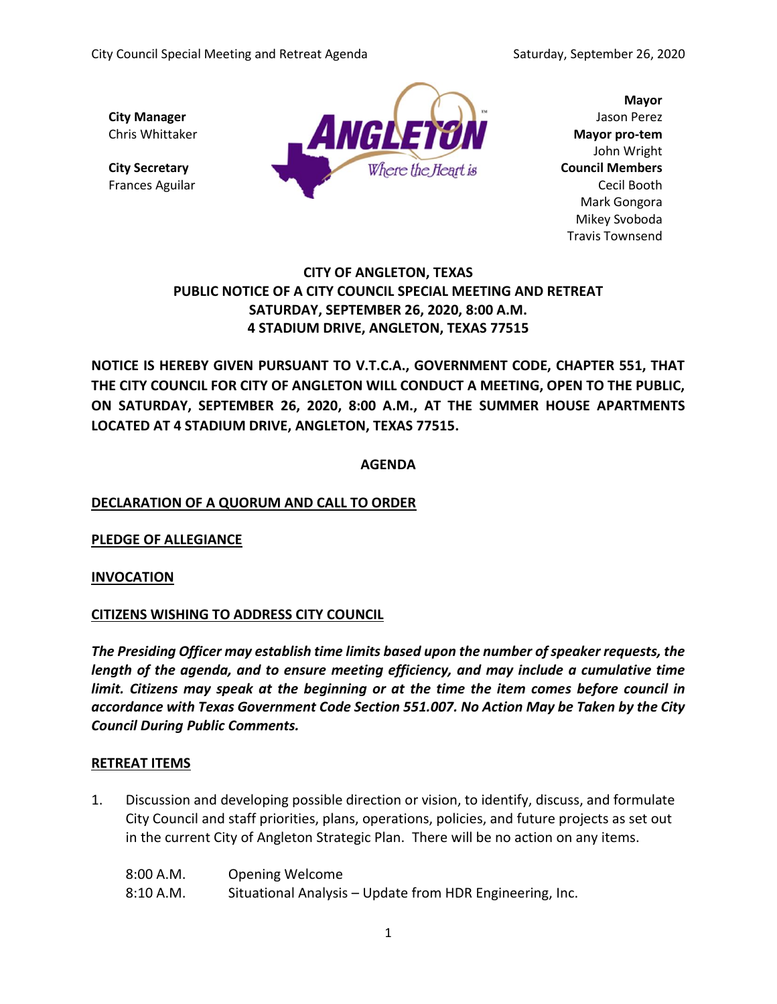

**Mayor** John Wright Mark Gongora Mikey Svoboda Travis Townsend

# **CITY OF ANGLETON, TEXAS PUBLIC NOTICE OF A CITY COUNCIL SPECIAL MEETING AND RETREAT SATURDAY, SEPTEMBER 26, 2020, 8:00 A.M. 4 STADIUM DRIVE, ANGLETON, TEXAS 77515**

**NOTICE IS HEREBY GIVEN PURSUANT TO V.T.C.A., GOVERNMENT CODE, CHAPTER 551, THAT THE CITY COUNCIL FOR CITY OF ANGLETON WILL CONDUCT A MEETING, OPEN TO THE PUBLIC, ON SATURDAY, SEPTEMBER 26, 2020, 8:00 A.M., AT THE SUMMER HOUSE APARTMENTS LOCATED AT 4 STADIUM DRIVE, ANGLETON, TEXAS 77515.**

#### **AGENDA**

# **DECLARATION OF A QUORUM AND CALL TO ORDER**

**PLEDGE OF ALLEGIANCE**

**INVOCATION**

# **CITIZENS WISHING TO ADDRESS CITY COUNCIL**

*The Presiding Officer may establish time limits based upon the number of speaker requests, the length of the agenda, and to ensure meeting efficiency, and may include a cumulative time limit. Citizens may speak at the beginning or at the time the item comes before council in accordance with Texas Government Code Section 551.007. No Action May be Taken by the City Council During Public Comments.*

# **RETREAT ITEMS**

1. Discussion and developing possible direction or vision, to identify, discuss, and formulate City Council and staff priorities, plans, operations, policies, and future projects as set out in the current City of Angleton Strategic Plan. There will be no action on any items.

| 8:00 A.M. | <b>Opening Welcome</b>                                   |
|-----------|----------------------------------------------------------|
| 8:10 A.M. | Situational Analysis - Update from HDR Engineering, Inc. |